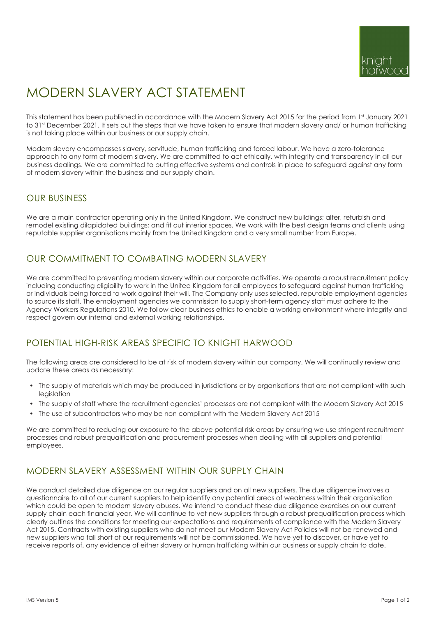# MODERN SLAVERY ACT STATEMENT

This statement has been published in accordance with the Modern Slavery Act 2015 for the period from 1st January 2021 to 31st December 2021. It sets out the steps that we have taken to ensure that modern slavery and/ or human trafficking is not taking place within our business or our supply chain.

Modern slavery encompasses slavery, servitude, human trafficking and forced labour. We have a zero-tolerance approach to any form of modern slavery. We are committed to act ethically, with integrity and transparency in all our business dealings. We are committed to putting effective systems and controls in place to safeguard against any form of modern slavery within the business and our supply chain.

## OUR BUSINESS

We are a main contractor operating only in the United Kingdom. We construct new buildings; alter, refurbish and remodel existing dilapidated buildings; and fit out interior spaces. We work with the best design teams and clients using reputable supplier organisations mainly from the United Kingdom and a very small number from Europe.

## OUR COMMITMENT TO COMBATING MODERN SLAVERY

We are committed to preventing modern slavery within our corporate activities. We operate a robust recruitment policy including conducting eligibility to work in the United Kingdom for all employees to safeguard against human trafficking or individuals being forced to work against their will. The Company only uses selected, reputable employment agencies to source its staff. The employment agencies we commission to supply short-term agency staff must adhere to the Agency Workers Regulations 2010. We follow clear business ethics to enable a working environment where integrity and respect govern our internal and external working relationships.

## POTENTIAL HIGH-RISK AREAS SPECIFIC TO KNIGHT HARWOOD

The following areas are considered to be at risk of modern slavery within our company. We will continually review and update these areas as necessary:

- The supply of materials which may be produced in jurisdictions or by organisations that are not compliant with such legislation
- The supply of staff where the recruitment agencies' processes are not compliant with the Modern Slavery Act 2015
- The use of subcontractors who may be non compliant with the Modern Slavery Act 2015

We are committed to reducing our exposure to the above potential risk areas by ensuring we use stringent recruitment processes and robust prequalification and procurement processes when dealing with all suppliers and potential employees.

## MODERN SLAVERY ASSESSMENT WITHIN OUR SUPPLY CHAIN

We conduct detailed due diligence on our regular suppliers and on all new suppliers. The due diligence involves a questionnaire to all of our current suppliers to help identify any potential areas of weakness within their organisation which could be open to modern slavery abuses. We intend to conduct these due diligence exercises on our current supply chain each financial year. We will continue to vet new suppliers through a robust prequalification process which clearly outlines the conditions for meeting our expectations and requirements of compliance with the Modern Slavery Act 2015. Contracts with existing suppliers who do not meet our Modern Slavery Act Policies will not be renewed and new suppliers who fall short of our requirements will not be commissioned. We have yet to discover, or have yet to receive reports of, any evidence of either slavery or human trafficking within our business or supply chain to date.